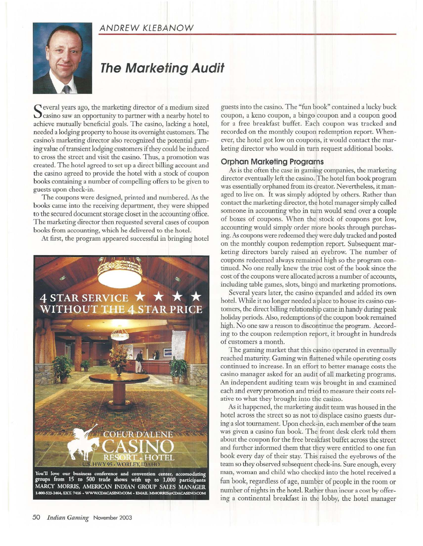## ANDREW KLEBANOW



# **The Marketing Audit**

Several years ago, the marketing director of a medium sized Casino saw an opportunity to partner with a nearby hotel to achieve mutually beneficial goals. The casino, lacking a hotel, needed a lodging property to house its overnight customers. The casino's marketing director also recognized the potential gaming value of transient lodging customers if they could be induced to cross the street and visit the casino. Thus, a promotion was created. The hotel agreed to set up a direct billing account and the casino agreed to provide the hotel with a stock of coupon books containing a number of compelling offers to be given to guests upon check-in.

The coupons were designed, printed and numbered. *As* the books came into the receiving department, they were shipped to the secured document storage closet in the accounting office. The marketing director then requested several cases of coupon books from accounting, which he delivered to the hotel.

At first, the program appeared successful in bringing hotel



You'll love our business conference and convention center, accomodating<br>groups from 15 to 500 trade shows with up to 1,000 participants MARCY MORRIS, AMERICAN INDIAN GROUP SALES MANAGER .<br>800-523-2464, EXT. 7416 + WWW.CDACASINO.COM + EMAIL MMORRIS@CDACASINO.COM guests into the casino. The "fun book" contained a lucky buck coupon, a keno coupon, a bingo coupon and a coupon good for a free breakfast buffet. Each coupon was tracked and recorded on the monthly coupon redemption report. Whenever, the hotel got low on coupons, it would contact the marketing director who would in turn request additional books.

#### **Orphan Marketing Programs**

*As is* the often the case in gaming companies, the marketing director eventually left the casino. The hotel fun book program was essentially orphaned from its creator. Nevertheless, it managed to live on. It was simply adopted by others. Rather than contact the marketing director, the hotel manager simply called someone in accounting who in turn would send over a couple of boxes of coupons. \Vhen the stock of coupons got low, accounting would simply order more books through purchasing. *As* coupons were redeemed they were duly tracked and posted on the monthly coupon redemption report. Subsequent marketing directors barely raised an eyebrow. The number of coupons redeemed always remained high so the program continued. No one really knew the true cost of the book since the cost of the coupons were allocated across a number of accounts, including table games, slots, bingo and marketing promotions.

Several years later, the casino expanded and added its own hotel. While it no longer needed a place to house its casino customers, the direct billing relationship came in handy during peak holiday periods. Also, redemptions of the coupon book remained high. No one saw a reason to discontinue the program. According to the coupon redemption report, it brought in hundreds of customers a month.

The gaming market that this casino operated in eventually reached maturity. Gaming win flattened while operating costs continued to increase. In an effort to better manage costs the casino manager asked for an audit of all marketing programs. An independent auditing team was brought in and examined each and every promotion and tried to measure their costs relative to what they brought into the casino.

As it happened, the marketing audit team was housed in the hotel across the street so as not to displace casino guests during a slot tournament. Upon check-in, each member of the team was given a casino fun book. The front desk clerk told them about the coupon for the free breakfast buffet across the street and further informed them that they were entitled to one fun book every day of their stay. This raised the eyebrows of the team so they observed subsequent check-ins. Sure enough, every man, woman and child who checked into the hotel received a fun book, regardless of age, number of people in the room or number of nights in the hotel. Rather than incur a cost by offering a continental breakfast in the lobby, the hotel manager